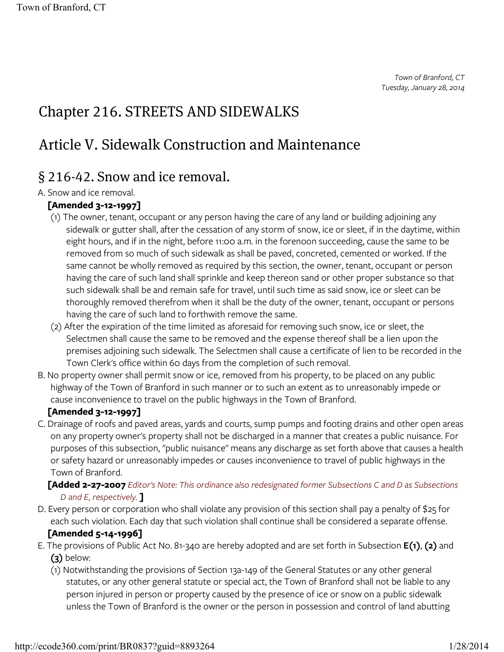*Town of Branford, CT Tuesday, January 28, 2014*

# Chapter 216. STREETS AND SIDEWALKS

# Article V. Sidewalk Construction and Maintenance

## § 216-42. Snow and ice removal.

## A. Snow and ice removal.

## **[Amended 3-12-1997]**

- (1) The owner, tenant, occupant or any person having the care of any land or building adjoining any sidewalk or gutter shall, after the cessation of any storm of snow, ice or sleet, if in the daytime, within eight hours, and if in the night, before 11:00 a.m. in the forenoon succeeding, cause the same to be removed from so much of such sidewalk as shall be paved, concreted, cemented or worked. If the same cannot be wholly removed as required by this section, the owner, tenant, occupant or person having the care of such land shall sprinkle and keep thereon sand or other proper substance so that such sidewalk shall be and remain safe for travel, until such time as said snow, ice or sleet can be thoroughly removed therefrom when it shall be the duty of the owner, tenant, occupant or persons having the care of such land to forthwith remove the same.
- (2) After the expiration of the time limited as aforesaid for removing such snow, ice or sleet, the Selectmen shall cause the same to be removed and the expense thereof shall be a lien upon the premises adjoining such sidewalk. The Selectmen shall cause a certificate of lien to be recorded in the Town Clerk's office within 60 days from the completion of such removal.
- B. No property owner shall permit snow or ice, removed from his property, to be placed on any public highway of the Town of Branford in such manner or to such an extent as to unreasonably impede or cause inconvenience to travel on the public highways in the Town of Branford.

## **[Amended 3-12-1997]**

C. Drainage of roofs and paved areas, yards and courts, sump pumps and footing drains and other open areas on any property owner's property shall not be discharged in a manner that creates a public nuisance. For purposes of this subsection, "public nuisance" means any discharge as set forth above that causes a health or safety hazard or unreasonably impedes or causes inconvenience to travel of public highways in the Town of Branford.

## **[Added 2-27-2007** *Editor's Note: This ordinance also redesignated former Subsections C and D as Subsections D and E, respectively.* **]**

D. Every person or corporation who shall violate any provision of this section shall pay a penalty of \$25 for each such violation. Each day that such violation shall continue shall be considered a separate offense.

## **[Amended 5-14-1996]**

- E. The provisions of Public Act No. 81-340 are hereby adopted and are set forth in Subsection **E(1)**, **(2)** and **(3)** below:
	- (1) Notwithstanding the provisions of Section 13a-149 of the General Statutes or any other general statutes, or any other general statute or special act, the Town of Branford shall not be liable to any person injured in person or property caused by the presence of ice or snow on a public sidewalk unless the Town of Branford is the owner or the person in possession and control of land abutting